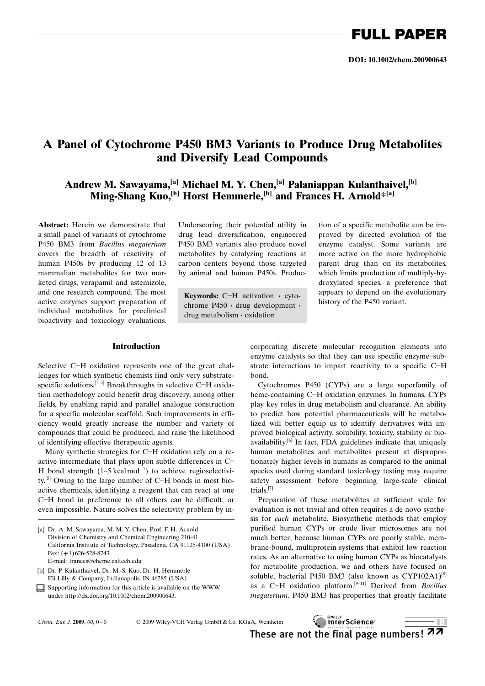## A Panel of Cytochrome P450 BM3 Variants to Produce Drug Metabolites and Diversify Lead Compounds

Andrew M. Sawayama,<sup>[a]</sup> Michael M. Y. Chen,<sup>[a]</sup> Palaniappan Kulanthaivel,<sup>[b]</sup> Ming-Shang Kuo, [b] Horst Hemmerle, [b] and Frances H. Arnold\*[a]

Abstract: Herein we demonstrate that a small panel of variants of cytochrome P450 BM3 from Bacillus megaterium covers the breadth of reactivity of human P450s by producing 12 of 13 mammalian metabolites for two marketed drugs, verapamil and astemizole, and one research compound. The most active enzymes support preparation of individual metabolites for preclinical bioactivity and toxicology evaluations.

## Introduction

Selective C-H oxidation represents one of the great challenges for which synthetic chemists find only very substratespecific solutions.<sup>[1-4]</sup> Breakthroughs in selective C-H oxidation methodology could benefit drug discovery, among other fields, by enabling rapid and parallel analogue construction for a specific molecular scaffold. Such improvements in efficiency would greatly increase the number and variety of compounds that could be produced, and raise the likelihood of identifying effective therapeutic agents.

Many synthetic strategies for C-H oxidation rely on a reactive intermediate that plays upon subtle differences in C- H bond strength  $(1-5 \text{ kcal mol}^{-1})$  to achieve regioselectivity.<sup>[5]</sup> Owing to the large number of C-H bonds in most bioactive chemicals, identifying a reagent that can react at one C-H bond in preference to all others can be difficult, or even impossible. Nature solves the selectivity problem by in-

[a] Dr. A. M. Sawayama, M. M. Y. Chen, Prof. F. H. Arnold Division of Chemistry and Chemical Engineering 210-41 California Institute of Technology, Pasadena, CA 91125-4100 (USA) Fax: (+1) 626-528-8743 E-mail: frances@cheme.caltech.edu

[b] Dr. P. Kulanthaivel, Dr. M.-S. Kuo, Dr. H. Hemmerle Eli Lilly & Company, Indianapolis, IN 46285 (USA)

 $\Box$  Supporting information for this article is available on the WWW under http://dx.doi.org/10.1002/chem.200900643.

Underscoring their potential utility in drug lead diversification, engineered P450 BM3 variants also produce novel metabolites by catalyzing reactions at carbon centers beyond those targeted by animal and human P450s. Produc-

**Keywords:** C-H activation  $\cdot$  cyto-<br>chrome P450 variant. history of the P450 variant. chrome P450 · drug development · drug metabolism · oxidation

tion of a specific metabolite can be improved by directed evolution of the enzyme catalyst. Some variants are more active on the more hydrophobic parent drug than on its metabolites, which limits production of multiply-hydroxylated species, a preference that appears to depend on the evolutionary

corporating discrete molecular recognition elements into enzyme catalysts so that they can use specific enzyme–substrate interactions to impart reactivity to a specific C-H bond.

Cytochromes P450 (CYPs) are a large superfamily of heme-containing C-H oxidation enzymes. In humans, CYPs play key roles in drug metabolism and clearance. An ability to predict how potential pharmaceuticals will be metabolized will better equip us to identify derivatives with improved biological activity, solubility, toxicity, stability or bioavailability.<sup>[6]</sup> In fact, FDA guidelines indicate that uniquely human metabolites and metabolites present at disproportionately higher levels in humans as compared to the animal species used during standard toxicology testing may require safety assessment before beginning large-scale clinical trials.[7]

Preparation of these metabolites at sufficient scale for evaluation is not trivial and often requires a de novo synthesis for each metabolite. Biosynthetic methods that employ purified human CYPs or crude liver microsomes are not much better, because human CYPs are poorly stable, membrane-bound, multiprotein systems that exhibit low reaction rates. As an alternative to using human CYPs as biocatalysts for metabolite production, we and others have focused on soluble, bacterial P450 BM3 (also known as CYP102A1)<sup>[8]</sup> as a C-H oxidation platform.<sup>[9-11]</sup> Derived from *Bacillus* megaterium, P450 BM3 has properties that greatly facilitate

2009 Wiley-VCH Verlag GmbH & Co. KGaA, Weinheim

**MILEY** InterScience®  $\blacksquare$ These are not the final page numbers!  $\pi\pi$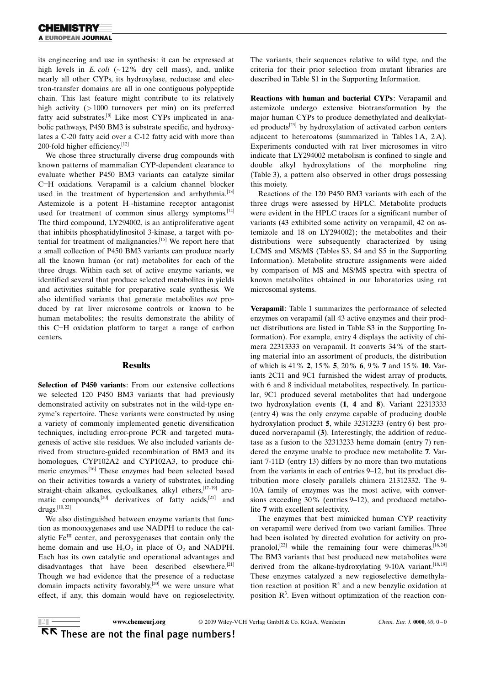its engineering and use in synthesis: it can be expressed at high levels in E. coli  $(-12\%$  dry cell mass), and, unlike nearly all other CYPs, its hydroxylase, reductase and electron-transfer domains are all in one contiguous polypeptide chain. This last feature might contribute to its relatively high activity (>1000 turnovers per min) on its preferred fatty acid substrates.[8] Like most CYPs implicated in anabolic pathways, P450 BM3 is substrate specific, and hydroxylates a C-20 fatty acid over a C-12 fatty acid with more than 200-fold higher efficiency.<sup>[12]</sup>

We chose three structurally diverse drug compounds with known patterns of mammalian CYP-dependent clearance to evaluate whether P450 BM3 variants can catalyze similar C-H oxidations. Verapamil is a calcium channel blocker used in the treatment of hypertension and arrhythmia.<sup>[13]</sup> Astemizole is a potent  $H_1$ -histamine receptor antagonist used for treatment of common sinus allergy symptoms.<sup>[14]</sup> The third compound, LY294002, is an antiproliferative agent that inhibits phosphatidylinositol 3-kinase, a target with potential for treatment of malignancies.[15] We report here that a small collection of P450 BM3 variants can produce nearly all the known human (or rat) metabolites for each of the three drugs. Within each set of active enzyme variants, we identified several that produce selected metabolites in yields and activities suitable for preparative scale synthesis. We also identified variants that generate metabolites not produced by rat liver microsome controls or known to be human metabolites; the results demonstrate the ability of this C-H oxidation platform to target a range of carbon centers.

### Results

Selection of P450 variants: From our extensive collections we selected 120 P450 BM3 variants that had previously demonstrated activity on substrates not in the wild-type enzyme's repertoire. These variants were constructed by using a variety of commonly implemented genetic diversification techniques, including error-prone PCR and targeted mutagenesis of active site residues. We also included variants derived from structure-guided recombination of BM3 and its homologues, CYP102A2 and CYP102A3, to produce chimeric enzymes.[16] These enzymes had been selected based on their activities towards a variety of substrates, including straight-chain alkanes, cycloalkanes, alkyl ethers, <a>[17-19]</a> aromatic compounds,<sup>[20]</sup> derivatives of fatty acids,<sup>[21]</sup> and  $\rm{drugs.}^{[10,22]}$ 

We also distinguished between enzyme variants that function as monooxygenases and use NADPH to reduce the catalytic  $Fe^{III}$  center, and peroxygenases that contain only the heme domain and use  $H_2O_2$  in place of  $O_2$  and NADPH. Each has its own catalytic and operational advantages and disadvantages that have been described elsewhere.<sup>[21]</sup> Though we had evidence that the presence of a reductase domain impacts activity favorably, $[20]$  we were unsure what effect, if any, this domain would have on regioselectivity. The variants, their sequences relative to wild type, and the criteria for their prior selection from mutant libraries are described in Table S1 in the Supporting Information.

Reactions with human and bacterial CYPs: Verapamil and astemizole undergo extensive biotransformation by the major human CYPs to produce demethylated and dealkylated products<sup>[23]</sup> by hydroxylation of activated carbon centers adjacent to heteroatoms (summarized in Tables 1A, 2A). Experiments conducted with rat liver microsomes in vitro indicate that LY294002 metabolism is confined to single and double alkyl hydroxylations of the morpholine ring (Table 3), a pattern also observed in other drugs possessing this moiety.

Reactions of the 120 P450 BM3 variants with each of the three drugs were assessed by HPLC. Metabolite products were evident in the HPLC traces for a significant number of variants (43 exhibited some activity on verapamil, 42 on astemizole and 18 on LY294002); the metabolites and their distributions were subsequently characterized by using LCMS and MS/MS (Tables S3, S4 and S5 in the Supporting Information). Metabolite structure assignments were aided by comparison of MS and MS/MS spectra with spectra of known metabolites obtained in our laboratories using rat microsomal systems.

Verapamil: Table 1 summarizes the performance of selected enzymes on verapamil (all 43 active enzymes and their product distributions are listed in Table S3 in the Supporting Information). For example, entry 4 displays the activity of chimera 22313333 on verapamil. It converts 34% of the starting material into an assortment of products, the distribution of which is 41% 2, 15% 5, 20% 6, 9% 7 and 15% 10. Variants 2C11 and 9C1 furnished the widest array of products, with 6 and 8 individual metabolites, respectively. In particular, 9C1 produced several metabolites that had undergone two hydroxylation events (1, 4 and 8). Variant 22313333 (entry 4) was the only enzyme capable of producing double hydroxylation product 5, while 32313233 (entry 6) best produced norverapamil (3). Interestingly, the addition of reductase as a fusion to the 32313233 heme domain (entry 7) rendered the enzyme unable to produce new metabolite 7. Variant 7-11D (entry 13) differs by no more than two mutations from the variants in each of entries 9–12, but its product distribution more closely parallels chimera 21312332. The 9- 10A family of enzymes was the most active, with conversions exceeding 30% (entries 9–12), and produced metabolite 7 with excellent selectivity.

The enzymes that best mimicked human CYP reactivity on verapamil were derived from two variant families. Three had been isolated by directed evolution for activity on propranolol,<sup>[22]</sup> while the remaining four were chimeras.<sup>[16,24]</sup> The BM3 variants that best produced new metabolites were derived from the alkane-hydroxylating 9-10A variant.<sup>[18,19]</sup> These enzymes catalyzed a new regioselective demethylation reaction at position  $R<sup>4</sup>$  and a new benzylic oxidation at position  $\mathbb{R}^3$ . Even without optimization of the reaction con-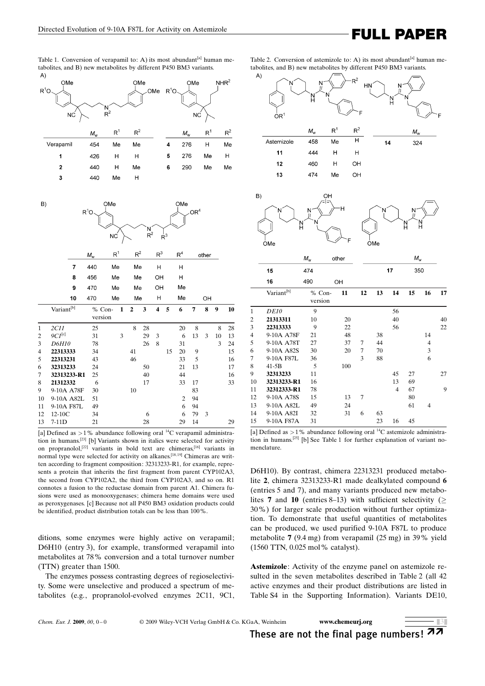Table 1. Conversion of verapamil to: A) its most abundant<sup>[a]</sup> human metabolites, and B) new metabolites by different P450 BM3 variants.



| B)             | $R^1O$                 | OMe<br>ΝĊ   |                                   | $R^2$          |    | $R^3$                   | OMe | OR <sup>4</sup> |    |       |    |    |  |  |  |
|----------------|------------------------|-------------|-----------------------------------|----------------|----|-------------------------|-----|-----------------|----|-------|----|----|--|--|--|
|                |                        | $M_{\rm w}$ | $R^1$                             | $R^2$          |    | R <sup>3</sup>          |     | R <sup>4</sup>  |    | other |    |    |  |  |  |
|                | $\overline{7}$         | 440         | Me                                | Me             |    | H                       |     | H               |    |       |    |    |  |  |  |
|                | 8                      | 456         | Me                                | Me             |    | OH                      |     | Η               |    |       |    |    |  |  |  |
|                | 9                      | 470         | Me                                | Me             |    | OH                      |     | Me              |    |       |    |    |  |  |  |
|                | 10                     | 470         | Me                                | Me             |    | н                       |     | Me              |    | OH    |    |    |  |  |  |
|                | Variant <sup>[b]</sup> |             | $\mathbf{1}$<br>% Con-<br>version | $\overline{2}$ | 3  | $\overline{\mathbf{4}}$ | 5   | 6               | 7  | 8     | 9  | 10 |  |  |  |
| $\mathbf{1}$   | 2C11                   | 25          |                                   | 8              | 28 |                         |     | 20              | 8  |       | 8  | 28 |  |  |  |
| $\overline{2}$ | $9Cl^{[c]}$            | 31          | 3                                 |                | 29 | 3                       |     | 6               | 13 | 3     | 10 | 13 |  |  |  |
| 3              | D6H10                  | 78          |                                   |                | 26 | 8                       |     | 31              |    |       | 3  | 24 |  |  |  |
| $\overline{4}$ | 22313333               | 34          |                                   | 41             |    |                         | 15  | 20              | 9  |       |    | 15 |  |  |  |
| 5              | 22313231               | 43          |                                   | 46             |    |                         |     | 33              | 5  |       |    | 16 |  |  |  |
| 6              | 32313233               | 24          |                                   |                | 50 |                         |     | 21              | 13 |       |    | 17 |  |  |  |
| 7              | 32313233-R1            | 25          |                                   |                | 40 |                         |     | 44              |    |       |    | 16 |  |  |  |
| 8              | 21312332               | 6           |                                   |                | 17 |                         |     | 33              | 17 |       |    | 33 |  |  |  |
| 9              | 9-10A A78F             | 30          |                                   | 10             |    |                         |     |                 | 83 |       |    |    |  |  |  |
| 10             | 9-10A A82L             | 51          |                                   |                |    |                         |     | $\overline{c}$  | 94 |       |    |    |  |  |  |
| 11             | 9-10A F87L             | 49          |                                   |                |    |                         |     | 6               | 94 |       |    |    |  |  |  |
| 12             | 12-10C                 | 34          |                                   |                | 6  |                         |     | 6               | 79 | 3     |    |    |  |  |  |
| 13             | $7-11D$                | 21          |                                   |                | 28 |                         |     | 29              | 14 |       |    | 29 |  |  |  |

[a] Defined as  $>1$ % abundance following oral <sup>14</sup>C verapamil administration in humans.[23] [b] Variants shown in italics were selected for activity on propranolol,<sup>[22]</sup> variants in bold text are chimeras,<sup>[16]</sup> variants in normal type were selected for activity on alkanes.<sup>[18,19]</sup> Chimeras are written according to fragment composition: 32313233-R1, for example, represents a protein that inherits the first fragment from parent CYP102A3, the second from CYP102A2, the third from CYP102A3, and so on. R1 connotes a fusion to the reductase domain from parent A1. Chimera fusions were used as monooxygenases; chimera heme domains were used as peroxygenases. [c] Because not all P450 BM3 oxidation products could be identified, product distribution totals can be less than 100%.

ditions, some enzymes were highly active on verapamil; D6H10 (entry 3), for example, transformed verapamil into metabolites at 78% conversion and a total turnover number (TTN) greater than 1500.

The enzymes possess contrasting degrees of regioselectivity. Some were unselective and produced a spectrum of metabolites (e.g., propranolol-evolved enzymes 2C11, 9C1,

Table 2. Conversion of astemizole to: A) its most abundant<sup>[a]</sup> human metabolites, and B) new metabolites by different P450 BM3 variants.





|                |                        | $M_{\rm w}$       | other |    |    |    | $M_{\rm w}$ |                |    |
|----------------|------------------------|-------------------|-------|----|----|----|-------------|----------------|----|
|                | 15                     | 474               |       |    |    | 17 | 350         |                |    |
|                | 16                     | 490               | OH    |    |    |    |             |                |    |
|                | Variant <sup>[b]</sup> | % Con-<br>version | 11    | 12 | 13 | 14 | 15          | 16             | 17 |
| 1              | <b>DE10</b>            | 9                 |       |    |    | 56 |             |                |    |
| $\overline{c}$ | 21313311               | 10                | 20    |    |    | 40 |             |                | 40 |
| 3              | 22313333               | 9                 | 22    |    |    | 56 |             |                | 22 |
| 4              | 9-10A A78F             | 21                | 48    |    | 38 |    |             | 14             |    |
| 5              | 9-10A A78T             | 27                | 37    | 7  | 44 |    |             | $\overline{4}$ |    |
| 6              | 9-10A A82S             | 30                | 20    | 7  | 70 |    |             | 3              |    |
| 7              | 9-10A F87L             | 36                |       | 3  | 88 |    |             | 6              |    |
| 8              | $41-5B$                | 5                 | 100   |    |    |    |             |                |    |
| 9              | 32313233               | 11                |       |    |    | 45 | 27          |                | 27 |
| 10             | 32313233-R1            | 16                |       |    |    | 13 | 69          |                |    |
| 11             | 32312333-R1            | 78                |       |    |    | 4  | 67          |                | 9  |
| 12             | 9-10A A78S             | 15                | 13    | 7  |    |    | 80          |                |    |
| 13             | 9-10A A82L             | 49                | 24    |    |    |    | 61          | 4              |    |
| 14             | 9-10A A82I             | 32                | 31    | 6  | 63 |    |             |                |    |
| 15             | 9-10A F87A             | 31                |       |    | 23 | 16 | 45          |                |    |
|                |                        |                   |       |    |    |    |             |                |    |

[a] Defined as  $>1$ % abundance following oral <sup>14</sup>C astemizole administration in humans.<sup>[25]</sup> [b] See Table 1 for further explanation of variant nomenclature.

D6H10). By contrast, chimera 22313231 produced metabolite 2, chimera 32313233-R1 made dealkylated compound 6 (entries 5 and 7), and many variants produced new metabolites 7 and 10 (entries 8–13) with sufficient selectivity ( $\geq$ 30%) for larger scale production without further optimization. To demonstrate that useful quantities of metabolites can be produced, we used purified 9-10A F87L to produce metabolite 7 (9.4 mg) from verapamil (25 mg) in 39% yield (1560 TTN, 0.025 mol% catalyst).

Astemizole: Activity of the enzyme panel on astemizole resulted in the seven metabolites described in Table 2 (all 42 active enzymes and their product distributions are listed in Table S4 in the Supporting Information). Variants DE10,

| Chem. Eur. J. 2009, 00, 0-0 |  |  |  |  | O |
|-----------------------------|--|--|--|--|---|
|-----------------------------|--|--|--|--|---|

2009 Wiley-VCH Verlag GmbH & Co. KGaA, Weinheim <www.chemeurj.org>



These are not the final page numbers!  $\pi\pi$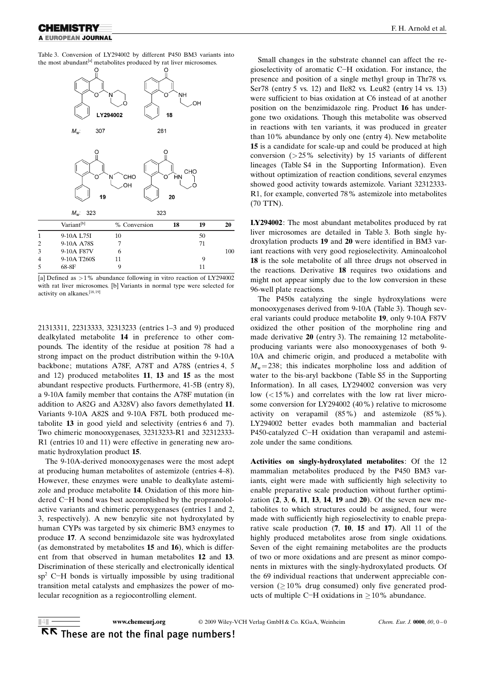Table 3. Conversion of LY294002 by different P450 BM3 variants into the most abundant<sup>[a]</sup> metabolites produced by rat liver microsomes.



[a] Defined as >1% abundance following in vitro reaction of LY294002 with rat liver microsomes. [b] Variants in normal type were selected for activity on alkanes.[18, 19]

21313311, 22313333, 32313233 (entries 1–3 and 9) produced dealkylated metabolite 14 in preference to other compounds. The identity of the residue at position 78 had a strong impact on the product distribution within the 9-10A backbone; mutations A78F, A78T and A78S (entries 4, 5 and 12) produced metabolites 11, 13 and 15 as the most abundant respective products. Furthermore, 41-5B (entry 8), a 9-10A family member that contains the A78F mutation (in addition to A82G and A328V) also favors demethylated 11. Variants 9-10A A82S and 9-10A F87L both produced metabolite 13 in good yield and selectivity (entries 6 and 7). Two chimeric monooxygenases, 32313233-R1 and 32312333- R1 (entries 10 and 11) were effective in generating new aromatic hydroxylation product 15.

The 9-10A-derived monooxygenases were the most adept at producing human metabolites of astemizole (entries 4–8). However, these enzymes were unable to dealkylate astemizole and produce metabolite 14. Oxidation of this more hindered C-H bond was best accomplished by the propranololactive variants and chimeric peroxygenases (entries 1 and 2, 3, respectively). A new benzylic site not hydroxylated by human CYPs was targeted by six chimeric BM3 enzymes to produce 17. A second benzimidazole site was hydroxylated (as demonstrated by metabolites 15 and 16), which is different from that observed in human metabolites 12 and 13. Discrimination of these sterically and electronically identical  $sp<sup>2</sup>$  C-H bonds is virtually impossible by using traditional transition metal catalysts and emphasizes the power of molecular recognition as a regiocontrolling element.

Small changes in the substrate channel can affect the regioselectivity of aromatic C-H oxidation. For instance, the presence and position of a single methyl group in Thr78 vs. Ser78 (entry 5 vs. 12) and Ile82 vs. Leu82 (entry 14 vs. 13) were sufficient to bias oxidation at C6 instead of at another position on the benzimidazole ring. Product 16 has undergone two oxidations. Though this metabolite was observed in reactions with ten variants, it was produced in greater than 10% abundance by only one (entry 4). New metabolite 15 is a candidate for scale-up and could be produced at high conversion  $(25\%$  selectivity) by 15 variants of different lineages (Table S4 in the Supporting Information). Even without optimization of reaction conditions, several enzymes showed good activity towards astemizole. Variant 32312333- R1, for example, converted 78% astemizole into metabolites (70 TTN).

LY294002: The most abundant metabolites produced by rat liver microsomes are detailed in Table 3. Both single hydroxylation products 19 and 20 were identified in BM3 variant reactions with very good regioselectivity. Aminoalcohol 18 is the sole metabolite of all three drugs not observed in the reactions. Derivative 18 requires two oxidations and might not appear simply due to the low conversion in these 96-well plate reactions.

The P450s catalyzing the single hydroxylations were monooxygenases derived from 9-10A (Table 3). Though several variants could produce metabolite 19, only 9-10A F87V oxidized the other position of the morpholine ring and made derivative 20 (entry 3). The remaining 12 metaboliteproducing variants were also monooxygenases of both 9- 10A and chimeric origin, and produced a metabolite with  $M_{\rm w}$ =238; this indicates morpholine loss and addition of water to the bis-aryl backbone (Table S5 in the Supporting Information). In all cases, LY294002 conversion was very low  $\left($  < 15%) and correlates with the low rat liver microsome conversion for LY294002 (40%) relative to microsome activity on verapamil (85%) and astemizole (85%). LY294002 better evades both mammalian and bacterial P450-catalyzed C-H oxidation than verapamil and astemizole under the same conditions.

Activities on singly-hydroxylated metabolites: Of the 12 mammalian metabolites produced by the P450 BM3 variants, eight were made with sufficiently high selectivity to enable preparative scale production without further optimization (2, 3, 6, 11, 13, 14, 19 and 20). Of the seven new metabolites to which structures could be assigned, four were made with sufficiently high regioselectivity to enable preparative scale production (7, 10, 15 and 17). All 11 of the highly produced metabolites arose from single oxidations. Seven of the eight remaining metabolites are the products of two or more oxidations and are present as minor components in mixtures with the singly-hydroxylated products. Of the 69 individual reactions that underwent appreciable conversion  $(10\%$  drug consumed) only five generated products of multiple C-H oxidations in  $\geq 10\%$  abundance.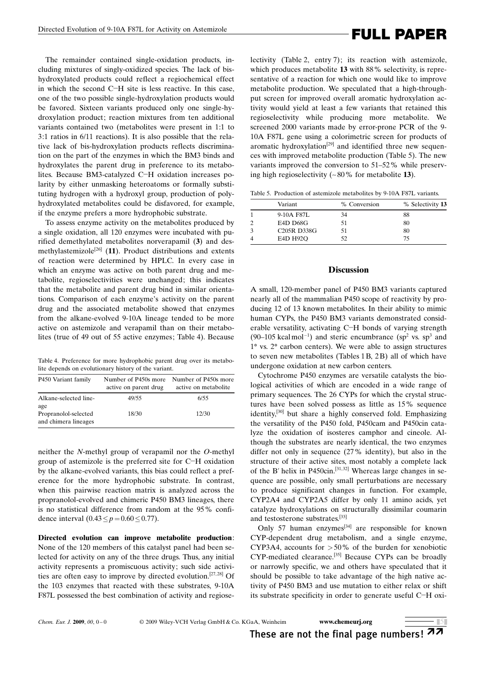The remainder contained single-oxidation products, including mixtures of singly-oxidized species. The lack of bishydroxylated products could reflect a regiochemical effect in which the second C-H site is less reactive. In this case, one of the two possible single-hydroxylation products would be favored. Sixteen variants produced only one single-hydroxylation product; reaction mixtures from ten additional variants contained two (metabolites were present in 1:1 to 3:1 ratios in 6/11 reactions). It is also possible that the relative lack of bis-hydroxylation products reflects discrimination on the part of the enzymes in which the BM3 binds and hydroxylates the parent drug in preference to its metabolites. Because BM3-catalyzed C-H oxidation increases polarity by either unmasking heteroatoms or formally substituting hydrogen with a hydroxyl group, production of polyhydroxylated metabolites could be disfavored, for example, if the enzyme prefers a more hydrophobic substrate.

To assess enzyme activity on the metabolites produced by a single oxidation, all 120 enzymes were incubated with purified demethylated metabolites norverapamil (3) and desmethylastemizole<sup>[26]</sup> (11). Product distributions and extents of reaction were determined by HPLC. In every case in which an enzyme was active on both parent drug and metabolite, regioselectivities were unchanged; this indicates that the metabolite and parent drug bind in similar orientations. Comparison of each enzyme's activity on the parent drug and the associated metabolite showed that enzymes from the alkane-evolved 9-10A lineage tended to be more active on astemizole and verapamil than on their metabolites (true of 49 out of 55 active enzymes; Table 4). Because

Table 4. Preference for more hydrophobic parent drug over its metabolite depends on evolutionary history of the variant.

| P450 Variant family                          | Number of P450s more<br>active on parent drug | Number of P450s more<br>active on metabolite |
|----------------------------------------------|-----------------------------------------------|----------------------------------------------|
| Alkane-selected line-<br>age                 | 49/55                                         | 6/55                                         |
| Propranolol-selected<br>and chimera lineages | 18/30                                         | 12/30                                        |

neither the N-methyl group of verapamil nor the O-methyl group of astemizole is the preferred site for C-H oxidation by the alkane-evolved variants, this bias could reflect a preference for the more hydrophobic substrate. In contrast, when this pairwise reaction matrix is analyzed across the propranolol-evolved and chimeric P450 BM3 lineages, there is no statistical difference from random at the 95% confidence interval  $(0.43 \le p=0.60 \le 0.77)$ .

Directed evolution can improve metabolite production: None of the 120 members of this catalyst panel had been selected for activity on any of the three drugs. Thus, any initial activity represents a promiscuous activity; such side activities are often easy to improve by directed evolution.<sup>[27,28]</sup> Of the 103 enzymes that reacted with these substrates, 9-10A F87L possessed the best combination of activity and regioselectivity (Table 2, entry 7); its reaction with astemizole, which produces metabolite 13 with 88% selectivity, is representative of a reaction for which one would like to improve metabolite production. We speculated that a high-throughput screen for improved overall aromatic hydroxylation activity would yield at least a few variants that retained this regioselectivity while producing more metabolite. We screened 2000 variants made by error-prone PCR of the 9- 10A F87L gene using a colorimetric screen for products of aromatic hydroxylation<sup>[29]</sup> and identified three new sequences with improved metabolite production (Table 5). The new variants improved the conversion to 51–52% while preserving high regioselectivity  $(-80\%$  for metabolite 13).

Table 5. Production of astemizole metabolites by 9-10A F87L variants.

| Variant                               | % Conversion | % Selectivity 13 |
|---------------------------------------|--------------|------------------|
| 9-10A F87L                            | 34           | 88               |
| E4D D68G                              | 51           | 80               |
| C <sub>205</sub> R D <sub>338</sub> G | 51           | 80               |
| E4D H92O                              | 52.          | 75.              |

### **Discussion**

A small, 120-member panel of P450 BM3 variants captured nearly all of the mammalian P450 scope of reactivity by producing 12 of 13 known metabolites. In their ability to mimic human CYPs, the P450 BM3 variants demonstrated considerable versatility, activating C-H bonds of varying strength  $(90-105 \text{ kcal mol}^{-1})$  and steric encumbrance  $(sp^2 \text{ vs. } sp^3 \text{ and})$  $1^{\circ}$  vs.  $2^{\circ}$  carbon centers). We were able to assign structures to seven new metabolites (Tables 1B, 2B) all of which have undergone oxidation at new carbon centers.

Cytochrome P450 enzymes are versatile catalysts the biological activities of which are encoded in a wide range of primary sequences. The 26 CYPs for which the crystal structures have been solved possess as little as 15% sequence identity,[30] but share a highly conserved fold. Emphasizing the versatility of the P450 fold, P450cam and P450cin catalyze the oxidation of isosteres camphor and cineole. Although the substrates are nearly identical, the two enzymes differ not only in sequence (27% identity), but also in the structure of their active sites, most notably a complete lack of the B' helix in P450cin.<sup>[31,32]</sup> Whereas large changes in sequence are possible, only small perturbations are necessary to produce significant changes in function. For example, CYP2A4 and CYP2A5 differ by only 11 amino acids, yet catalyze hydroxylations on structurally dissimilar coumarin and testosterone substrates.[33]

Only 57 human enzymes<sup>[34]</sup> are responsible for known CYP-dependent drug metabolism, and a single enzyme, CYP3A4, accounts for  $>50\%$  of the burden for xenobiotic CYP-mediated clearance.[35] Because CYPs can be broadly or narrowly specific, we and others have speculated that it should be possible to take advantage of the high native activity of P450 BM3 and use mutation to either relax or shift its substrate specificity in order to generate useful C-H oxi-

# These are not the final page numbers!  $\pi\pi$

 $\overline{5}$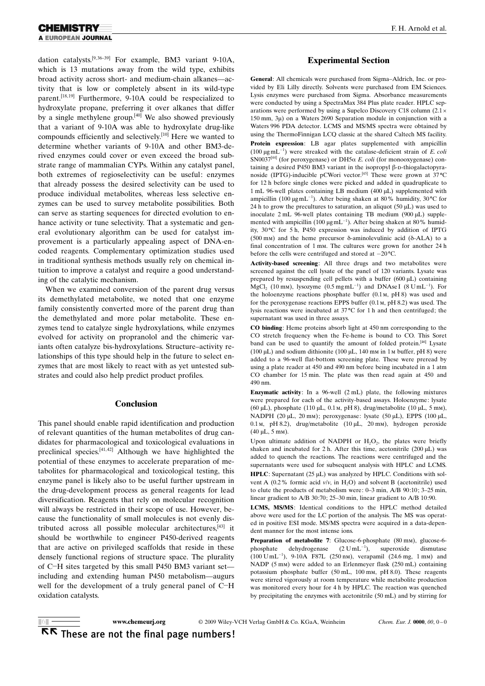dation catalysts.<sup>[9, 36-39]</sup> For example, BM3 variant 9-10A, which is 13 mutations away from the wild type, exhibits broad activity across short- and medium-chain alkanes—activity that is low or completely absent in its wild-type parent.<sup>[18,19]</sup> Furthermore, 9-10A could be respecialized to hydroxylate propane, preferring it over alkanes that differ by a single methylene group.<sup>[40]</sup> We also showed previously that a variant of 9-10A was able to hydroxylate drug-like compounds efficiently and selectively.[10] Here we wanted to determine whether variants of 9-10A and other BM3-derived enzymes could cover or even exceed the broad substrate range of mammalian CYPs. Within any catalyst panel, both extremes of regioselectivity can be useful: enzymes that already possess the desired selectivity can be used to produce individual metabolites, whereas less selective enzymes can be used to survey metabolite possibilities. Both can serve as starting sequences for directed evolution to enhance activity or tune selectivity. That a systematic and general evolutionary algorithm can be used for catalyst improvement is a particularly appealing aspect of DNA-encoded reagents. Complementary optimization studies used in traditional synthesis methods usually rely on chemical intuition to improve a catalyst and require a good understanding of the catalytic mechanism.

When we examined conversion of the parent drug versus its demethylated metabolite, we noted that one enzyme family consistently converted more of the parent drug than the demethylated and more polar metabolite. These enzymes tend to catalyze single hydroxylations, while enzymes evolved for activity on propranolol and the chimeric variants often catalyze bis-hydroxylations. Structure–activity relationships of this type should help in the future to select enzymes that are most likely to react with as yet untested substrates and could also help predict product profiles.

### Conclusion

This panel should enable rapid identification and production of relevant quantities of the human metabolites of drug candidates for pharmacological and toxicological evaluations in preclinical species.[41, 42] Although we have highlighted the potential of these enzymes to accelerate preparation of metabolites for pharmacological and toxicological testing, this enzyme panel is likely also to be useful further upstream in the drug-development process as general reagents for lead diversification. Reagents that rely on molecular recognition will always be restricted in their scope of use. However, because the functionality of small molecules is not evenly distributed across all possible molecular architectures,[43] it should be worthwhile to engineer P450-derived reagents that are active on privileged scaffolds that reside in these densely functional regions of structure space. The plurality of C-H sites targeted by this small P450 BM3 variant set including and extending human P450 metabolism—augurs well for the development of a truly general panel of C-H oxidation catalysts.

### Experimental Section

General: All chemicals were purchased from Sigma–Aldrich, Inc. or provided by Eli Lilly directly. Solvents were purchased from EM Sciences. Lysis enzymes were purchased from Sigma. Absorbance measurements were conducted by using a SpectraMax 384 Plus plate reader. HPLC separations were performed by using a Supelco Discovery C18 column (2.1  $150$  mm,  $3\mu$ ) on a Waters 2690 Separation module in conjunction with a Waters 996 PDA detector. LCMS and MS/MS spectra were obtained by using the ThermoFinnigan LCQ classic at the shared Caltech MS facility. Protein expression: LB agar plates supplemented with ampicillin (100  $\mu$ gmL<sup>-1</sup>) were streaked with the catalase-deficient strain of *E. coli* SN0037<sup>[44]</sup> (for peroxygenase) or DH5 $\alpha$  E. coli (for monooxygenase) containing a desired P450 BM3 variant in the isopropyl  $\beta$ -p-thiogalactopyranoside (IPTG)-inducible pCWori vector.<sup>[45]</sup> These were grown at  $37^{\circ}$ C for 12 h before single clones were picked and added in quadruplicate to 1 mL 96-well plates containing LB medium (400 mL) supplemented with ampicillin (100  $\mu$ gmL<sup>-1</sup>). After being shaken at 80% humidity, 30<sup>°</sup>C for 24 h to grow the precultures to saturation, an aliquot (50  $\mu$ L) was used to inoculate  $2 \text{ mL}$  96-well plates containing TB medium (900  $\mu$ L) supplemented with ampicillin (100  $\mu$ gmL<sup>-1</sup>). After being shaken at 80% humidity, 30°C for 5 h, P450 expression was induced by addition of IPTG (500 mm) and the heme precursor  $\delta$ -aminolevulinic acid ( $\delta$ -ALA) to a final concentration of 1 mm. The cultures were grown for another 24 h before the cells were centrifuged and stored at  $-20^{\circ}$ C.

Activity-based screening: All three drugs and two metabolites were screened against the cell lysate of the panel of 120 variants. Lysate was prepared by resuspending cell pellets with a buffer  $(600 \mu L)$  containing  $MgCl<sub>2</sub>$  (10 mm), lysozyme (0.5 mgmL<sup>-1</sup>) and DNAse I (8 UmL<sup>-1</sup>). For the holoenzyme reactions phosphate buffer (0.1m, pH 8) was used and for the peroxygenase reactions EPPS buffer (0.1m, pH 8.2) was used. The lysis reactions were incubated at 37°C for 1 h and then centrifuged; the supernatant was used in three assays.

CO binding: Heme proteins absorb light at 450 nm corresponding to the CO stretch frequency when the Fe-heme is bound to CO. This Soret band can be used to quantify the amount of folded protein.<sup>[46]</sup> Lysate (100  $\mu$ L) and sodium dithionite (100  $\mu$ L, 140 mm in 1m buffer, pH 8) were added to a 96-well flat-bottom screening plate. These were preread by using a plate reader at 450 and 490 nm before being incubated in a 1 atm CO chamber for 15 min. The plate was then read again at 450 and 490 nm.

Enzymatic activity: In a 96-well (2 mL) plate, the following mixtures were prepared for each of the activity-based assays. Holoenzyme: lysate (60  $\mu$ L), phosphate (110  $\mu$ L, 0.1 m, pH 8), drug/metabolite (10  $\mu$ L, 5 mm), NADPH (20 µL, 20 mm); peroxygenase: lysate (50 µL), EPPS (100 µL, 0.1m, pH 8.2), drug/metabolite (10 µL, 20 mm), hydrogen peroxide  $(40 \mu L, 5 \text{ mm}).$ 

Upon ultimate addition of NADPH or  $H_2O_2$ , the plates were briefly shaken and incubated for 2 h. After this time, acetonitrile  $(200 \,\mu L)$  was added to quench the reactions. The reactions were centrifuged and the supernatants were used for subsequent analysis with HPLC and LCMS.

HPLC: Supernatant  $(25 \mu L)$  was analyzed by HPLC. Conditions with solvent A (0.2% formic acid  $v/v$ , in H<sub>2</sub>O) and solvent B (acetonitrile) used to elute the products of metabolism were: 0–3 min, A/B 90:10; 3–25 min, linear gradient to A/B 30:70; 25–30 min, linear gradient to A/B 10:90.

LCMS, MS/MS: Identical conditions to the HPLC method detailed above were used for the LC portion of the analysis. The MS was operated in positive ESI mode. MS/MS spectra were acquired in a data-dependent manner for the most intense ions.

Preparation of metabolite 7: Glucose-6-phosphate (80 mm), glucose-6phosphate dehydrogenase  $(2 \text{ U} \text{m} \text{L}^{-1}),$ ), superoxide dismutase  $(100 \text{ U} \text{mL}^{-1})$ , 9-10A F87L  $(250 \text{ nm})$ , verapamil  $(24.6 \text{ mg}, 1 \text{ mm})$  and NADP (5 mm) were added to an Erlenmeyer flask (250 mL) containing potassium phosphate buffer (50 mL, 100 mm, pH 8.0). These reagents were stirred vigorously at room temperature while metabolite production was monitored every hour for 4 h by HPLC. The reaction was quenched by precipitating the enzymes with acetonitrile (50 mL) and by stirring for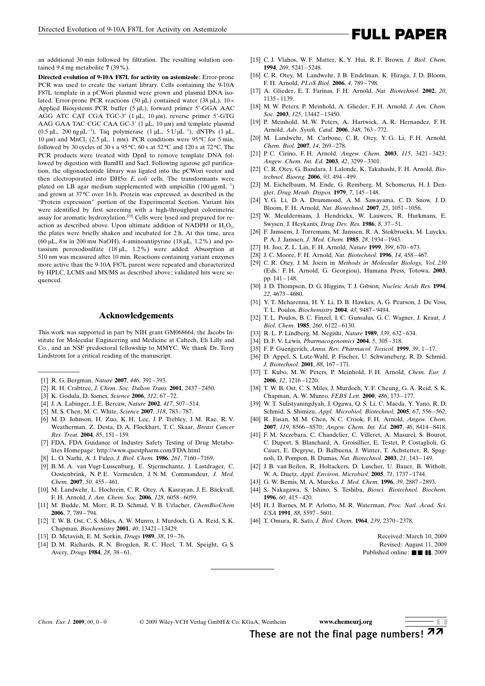### an additional 30 min followed by filtration. The resulting solution contained 9.4 mg metabolite 7 (39%).

Directed evolution of 9-10A F87L for activity on astemizole: Error-prone PCR was used to create the variant library. Cells containing the 9-10A F87L template in a pCWori plasmid were grown and plasmid DNA isolated. Error-prone PCR reactions (50  $\mu$ L) contained water (38  $\mu$ L), 10 × Applied Biosystems PCR buffer  $(5 \mu L)$ , forward primer 5'-GGA AAC AGG ATC CAT CGA TGC-3' (1 µL, 10 µm), reverse primer 5'-GTG AAG GAA TAC CGC CAA GC-3' (1 µL, 10 µm) and template plasmid  $(0.5 \, \mu L, 200 \, \text{ng } \mu L^{-1})$ , Taq polymerase  $(1 \, \mu L, 5 \, U \mu L^{-1})$ , dNTPs  $(1 \, \mu L, 1)$ 10  $\mu$ m) and MnCl<sub>2</sub> (2.5  $\mu$ L, 1 mm). PCR conditions were 95 °C for 5 min, followed by 30 cycles of 30 s a 95 $\degree$ C, 60 s at 52 $\degree$ C and 120 s at 72 $\degree$ C. The PCR products were treated with DpnI to remove template DNA followed by digestion with BamHI and SacI. Following agarose gel purification, the oligonucleotide library was ligated into the pCWori vector and then electroporated into DH5 $\alpha$  E. coli cells. The transformants were plated on LB agar medium supplemented with ampicillin  $(100 \,\mu g\,\text{mL}^{-1})$ and grown at  $37^{\circ}$ C over 16 h. Protein was expressed, as described in the "Protein expression" portion of the Experimental Section. Variant hits were identified by first screening with a high-throughput colorimetric assay for aromatic hydroxylation.[29] Cells were lysed and prepared for reaction as described above. Upon ultimate addition of NADPH or  $H_2O_2$ , the plates were briefly shaken and incubated for 2 h. At this time, urea (60  $\mu$ L, 8<sub>M</sub> in 200 mm NaOH), 4-aminoantipyrine (18  $\mu$ L, 1.2%) and potassium peroxodisulfate (18 mL, 1.2%) were added. Absorption at 510 nm was measured after 10 min. Reactions containing variant enzymes more active than the 9-10A F87L parent were repeated and characterized by HPLC, LCMS and MS/MS as described above; validated hits were sequenced.

## Acknowledgements

This work was supported in part by NIH grant GM068664, the Jacobs Institute for Molecular Engineering and Medicine at Caltech, Eli Lilly and Co., and an NSF predoctoral fellowship to MMYC. We thank Dr. Terry Lindstrom for a critical reading of the manuscript.

- [1] R. G. Bergman, [Nature](http://dx.doi.org/10.1038/446391a) 2007, 446, 391-393.
- [2] R. H. Crabtree, [J. Chem. Soc. Dalton Trans.](http://dx.doi.org/10.1039/b103147n) 2001, 2437 2450.
- [3] K. Godula, D. Sames, [Science](http://dx.doi.org/10.1126/science.1114731) 2006, 312[, 67 72.](http://dx.doi.org/10.1126/science.1114731)
- [4] J. A. Labinger, J. E. Bercaw, [Nature](http://dx.doi.org/10.1038/417507a) 2002, 417, 507-514.
- [5] M. S. Chen, M. C. White, [Science](http://dx.doi.org/10.1126/science.1148597) 2007, 318, 783-787.
- [6] M. D. Johnson, H. Zuo, K. H. Lee, J. P. Trebley, J. M. Rae, R. V. Weatherman, Z. Desta, D. A. Flockhart, T. C. Skaar, [Breast Cancer](http://dx.doi.org/10.1023/B:BREA.0000025406.31193.e8) [Res. Treat.](http://dx.doi.org/10.1023/B:BREA.0000025406.31193.e8) 2004, 85, 151 – 159.
- [7] FDA, FDA Guidance of Industry Safety Testing of Drug Metabolites Homepage: http://www.questpharm.com/FDA.html
- [8] L. O. Narhi, A. J. Fulco, *J. Biol. Chem.* **1986**, 261, 7160-7169.
- [9] B. M. A. van Vugt-Lussenburg, E. Stjernschantz, J. Lastdrager, C. Oostenbrink, N. P. E. Vermeulen, J. N. M. Commandeur, [J. Med.](http://dx.doi.org/10.1021/jm0609061) [Chem.](http://dx.doi.org/10.1021/jm0609061) 2007, 50, 455-461.
- [10] M. Landwehr, L. Hochrein, C. R. Otey, A. Kasrayan, J. E. Bäckvall, F. H. Arnold, [J. Am. Chem. Soc.](http://dx.doi.org/10.1021/ja061261x) 2006, 128, 6058 – 6059.
- [11] M. Budde, M. Morr, R. D. Schmid, V. B. Urlacher, [ChemBioChem](http://dx.doi.org/10.1002/cbic.200500444) 2006, 7[, 789 – 794.](http://dx.doi.org/10.1002/cbic.200500444)
- [12] T. W. B. Ost, C. S. Miles, A. W. Munro, J. Murdoch, G. A. Reid, S. K. Chapman, [Biochemistry](http://dx.doi.org/10.1021/bi010716m) 2001, 40[, 13421 – 13429.](http://dx.doi.org/10.1021/bi010716m)
- [13] D. Mctavish, E. M. Sorkin, [Drugs](http://dx.doi.org/10.2165/00003495-198938010-00003) 1989, 38, 19-76.
- [14] D. M. Richards, R. N. Brogden, R. C. Heel, T. M. Speight, G. S. Avery, *[Drugs](http://dx.doi.org/10.2165/00003495-198428010-00003)* **1984**, 28, 38-61.
- [15] C. J. Vlahos, W. F. Matter, K. Y. Hui, R. F. Brown, J. Biol. Chem. 1994, 269, 5241 – 5248.
- [16] C. R. Otey, M. Landwehr, J. B. Endelman, K. Hiraga, J. D. Bloom, F. H. Arnold, PLoS Biol. 2006, 4, 789 – 798.
- [17] A. Glieder, E. T. Farinas, F. H. Arnold, [Nat. Biotechnol.](http://dx.doi.org/10.1038/nbt744) 2002, 20, [1135 – 1139](http://dx.doi.org/10.1038/nbt744).
- [18] M. W. Peters, P. Meinhold, A. Glieder, F. H. Arnold, [J. Am. Chem.](http://dx.doi.org/10.1021/ja0303790) Soc. 2003, 125, 13442-13450.
- [19] P. Meinhold, M. W. Peters, A. Hartwick, A. R. Hernandez, F. H. Arnold, [Adv. Synth. Catal.](http://dx.doi.org/10.1002/adsc.200505465) 2006, 348, 763 – 772.
- [20] M. Landwehr, M. Carbone, C. R. Otey, Y. G. Li, F. H. Arnold, [Chem. Biol.](http://dx.doi.org/10.1016/j.chembiol.2007.01.009) 2007, 14, 269-278.
- [21] P. C. Cirino, F. H. Arnold, [Angew. Chem.](http://dx.doi.org/10.1002/ange.200351434) 2003, 115, 3421-3423; [Angew. Chem. Int. Ed.](http://dx.doi.org/10.1002/anie.200351434) 2003, 42, 3299-3301.
- [22] C. R. Otey, G. Bandara, J. Lalonde, K. Takahashi, F. H. Arnold, [Bio](http://dx.doi.org/10.1002/bit.20744)[technol. Bioeng.](http://dx.doi.org/10.1002/bit.20744) 2006, 93, 494 – 499.
- [23] M. Eichelbaum, M. Ende, G. Remberg, M. Schomerus, H. J. Dengler, Drug Metab. Dispos. 1979, 7, 145-148.
- [24] Y. G. Li, D. A. Drummond, A. M. Sawayama, C. D. Snow, J. D. Bloom, F. H. Arnold, [Nat. Biotechnol.](http://dx.doi.org/10.1038/nbt1333) 2007, 25, 1051 – 1056.
- [25] W. Meuldermans, J. Hendrickx, W. Lauwers, R. Hurkmans, E. Swysen, J. Heykants, *[Drug Dev. Res.](http://dx.doi.org/10.1002/ddr.430080106)* **1986**, 8, 37-51.
- [26] F. Janssens, J. Torremans, M. Janssen, R. A. Stokbroekx, M. Luyckx, P. A. J. Janssen, [J. Med. Chem.](http://dx.doi.org/10.1021/jm00150a029) 1985, 28, 1934 – 1943.
- [27] H. Joo, Z. L. Lin, F. H. Arnold, Nature 1999, 399, 670-673.
- [28] J. C. Moore, F. H. Arnold, [Nat. Biotechnol.](http://dx.doi.org/10.1038/nbt0496-458) 1996, 14, 458-467.
- [29] C. R. Otey, J. M. Joern in Methods in Molecular Biology, Vol. 230 (Eds.: F. H. Arnold, G. Georgiou), Humana Press, Totowa, 2003, pp. 141 – 148.
- [30] J. D. Thompson, D. G. Higgins, T. J. Gibson, [Nucleic Acids Res.](http://dx.doi.org/10.1093/nar/22.22.4673) 1994, 22[, 4673 – 4680.](http://dx.doi.org/10.1093/nar/22.22.4673)
- [31] Y. T. Meharenna, H. Y. Li, D. B. Hawkes, A. G. Pearson, J. De Voss, T. L. Poulos, [Biochemistry](http://dx.doi.org/10.1021/bi049293p) 2004, 43, 9487 – 9494.
- [32] T. L. Poulos, B. C. Finzel, I. C. Gunsalus, G. C. Wagner, J. Kraut, J. Biol. Chem. 1985, 260, 6122 – 6130.
- [33] R. L. P. Lindberg, M. Negishi, [Nature](http://dx.doi.org/10.1038/339632a0) 1989, 339, 632-634.
- [34] D. F. V. Lewis, [Pharmacogenomics](http://dx.doi.org/10.1517/phgs.5.3.305.29827) 2004, 5, 305 318.
- [35] F. P. Guengerich, [Annu. Rev. Pharmacol. Toxicol.](http://dx.doi.org/10.1146/annurev.pharmtox.39.1.1) 1999, 39, 1-17.
- [36] D. Appel, S. Lutz-Wahl, P. Fischer, U. Schwaneberg, R. D. Schmid, [J. Biotechnol.](http://dx.doi.org/10.1016/S0168-1656(01)00249-8) 2001, 88, 167 – 171.
- [37] T. Kubo, M. W. Peters, P. Meinhold, F. H. Arnold, [Chem. Eur. J.](http://dx.doi.org/10.1002/chem.200500584) 2006, 12[, 1216 – 1220.](http://dx.doi.org/10.1002/chem.200500584)
- [38] T. W. B. Ost, C. S. Miles, J. Murdoch, Y. F. Cheung, G. A. Reid, S. K. Chapman, A. W. Munro, [FEBS Lett.](http://dx.doi.org/10.1016/S0014-5793(00)02267-5) 2000, 486, 173 – 177.
- [39] W. T. Sulistyaningdyah, J. Ogawa, Q. S. Li, C. Maeda, Y. Yano, R. D. Schmid, S. Shimizu, [Appl. Microbiol. Biotechnol.](http://dx.doi.org/10.1007/s00253-004-1761-9) 2005, 67, 556 – 562.
- [40] R. Fasan, M. M. Chen, N. C. Crook, F. H. Arnold, [Angew. Chem.](http://dx.doi.org/10.1002/ange.200702616) 2007, 119[, 8566 – 8570](http://dx.doi.org/10.1002/ange.200702616); [Angew. Chem. Int. Ed.](http://dx.doi.org/10.1002/anie.200702616) 2007, 46, 8414 – 8418.
- [41] F. M. Szczebara, C. Chandelier, C. Villeret, A. Masurel, S. Bourot, C. Duport, S. Blanchard, A. Groisillier, E. Testet, P. Costaglioli, G. Cauet, E. Degryse, D. Balbuena, J. Winter, T. Achstetter, R. Spagnoli, D. Pompon, B. Dumas, [Nat. Biotechnol.](http://dx.doi.org/10.1038/nbt775) 2003, 21, 143 – 149.
- [42] J. B. van Beilen, R. Holtackers, D. Luscher, U. Bauer, B. Witholt, W. A. Duetz, [Appl. Environ. Microbiol.](http://dx.doi.org/10.1128/AEM.71.4.1737-1744.2005) 2005, 71, 1737 – 1744.
- [43] G. W. Bemis, M. A. Murcko, [J. Med. Chem.](http://dx.doi.org/10.1021/jm9602928) 1996, 39, 2887-2893.
- [44] S. Nakagawa, S. Ishino, S. Teshiba, [Biosci. Biotechnol. Biochem.](http://dx.doi.org/10.1271/bbb.60.415) 1996, 60[, 415 – 420](http://dx.doi.org/10.1271/bbb.60.415).
- [45] H. J. Barnes, M. P. Arlotto, M. R. Waterman, [Proc. Natl. Acad. Sci.](http://dx.doi.org/10.1073/pnas.88.13.5597) USA 1991, 88[, 5597 – 5601.](http://dx.doi.org/10.1073/pnas.88.13.5597)
- [46] T. Omura, R. Sato, J. Biol. Chem. 1964, 239, 2370 2378.

Received: March 10, 2009 Revised: August 11, 2009 Published online:  $\blacksquare$   $\blacksquare$   $\blacksquare$ , 2009

 $\Box 7$ 

These are not the final page numbers!  $\pi\pi$